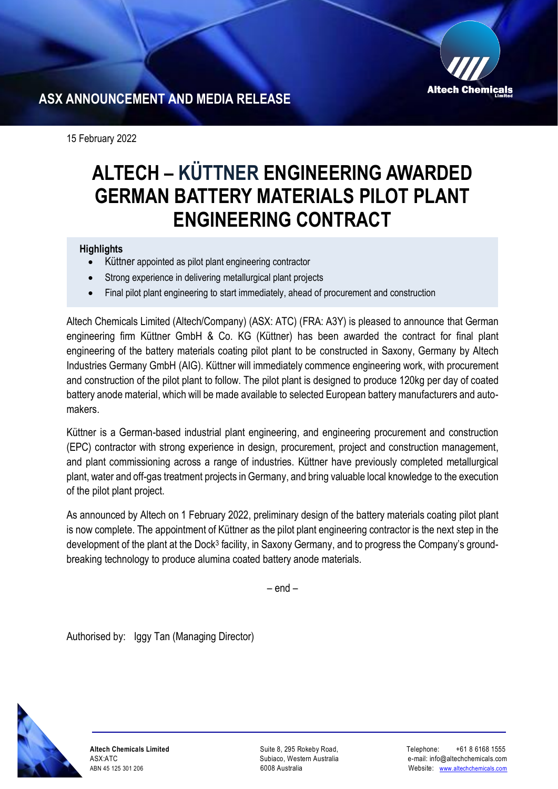

## **ASX ANNOUNCEMENT AND MEDIA RELEASE**

15 February 2022

# **ALTECH – KÜTTNER ENGINEERING AWARDED GERMAN BATTERY MATERIALS PILOT PLANT ENGINEERING CONTRACT**

### **Highlights**

- Küttner appointed as pilot plant engineering contractor
- Strong experience in delivering metallurgical plant projects
- Final pilot plant engineering to start immediately, ahead of procurement and construction

Altech Chemicals Limited (Altech/Company) (ASX: ATC) (FRA: A3Y) is pleased to announce that German engineering firm Küttner GmbH & Co. KG (Küttner) has been awarded the contract for final plant engineering of the battery materials coating pilot plant to be constructed in Saxony, Germany by Altech Industries Germany GmbH (AIG). Küttner will immediately commence engineering work, with procurement and construction of the pilot plant to follow. The pilot plant is designed to produce 120kg per day of coated battery anode material, which will be made available to selected European battery manufacturers and automakers.

Küttner is a German-based industrial plant engineering, and engineering procurement and construction (EPC) contractor with strong experience in design, procurement, project and construction management, and plant commissioning across a range of industries. Küttner have previously completed metallurgical plant, water and off-gas treatment projects in Germany, and bring valuable local knowledge to the execution of the pilot plant project.

As announced by Altech on 1 February 2022, preliminary design of the battery materials coating pilot plant is now complete. The appointment of Küttner as the pilot plant engineering contractor is the next step in the development of the plant at the Dock<sup>3</sup> facility, in Saxony Germany, and to progress the Company's groundbreaking technology to produce alumina coated battery anode materials.

– end –

Authorised by: Iggy Tan (Managing Director)



**Altech Chemicals Limited**  ASX:ATC ABN 45 125 301 206